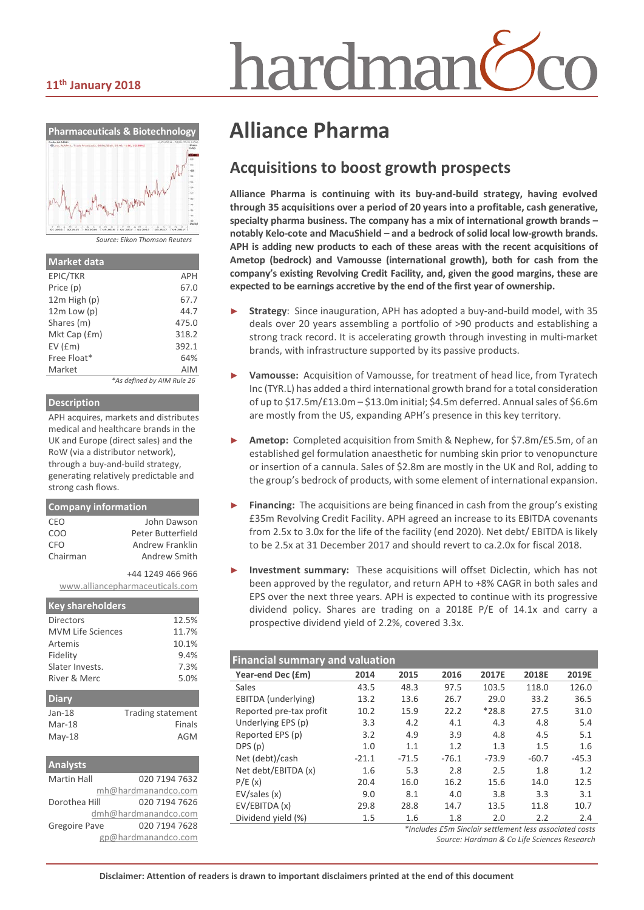#### **11th January 2018**



*Source: Eikon Thomson Reuters*

| <b>Market data</b> |                            |
|--------------------|----------------------------|
| EPIC/TKR           | APH                        |
| Price (p)          | 67.0                       |
| $12m$ High $(p)$   | 67.7                       |
| $12m$ Low $(p)$    | 44.7                       |
| Shares (m)         | 475.0                      |
| Mkt Cap (£m)       | 318.2                      |
| $EV$ ( $Em$ )      | 392.1                      |
| Free Float*        | 64%                        |
| Market             | <b>AIM</b>                 |
|                    | *As defined by AIM Rule 26 |

#### **Description**

APH acquires, markets and distributes medical and healthcare brands in the UK and Europe (direct sales) and the RoW (via a distributor network), through a buy-and-build strategy, generating relatively predictable and strong cash flows.

| <b>Company information</b> |                                 |
|----------------------------|---------------------------------|
| CEO                        | <b>Iohn Dawson</b>              |
| COO                        | Peter Butterfield               |
| CFO                        | Andrew Franklin                 |
| Chairman                   | Andrew Smith                    |
|                            | +44 1249 466 966                |
|                            | www.alliancepharmaceuticals.com |
| <b>Key shareholders</b>    |                                 |
| Directors                  | 12.5%                           |
| <b>MVM Life Sciences</b>   | 11.7%                           |
| Artemis                    | 10.1%                           |
| Fidelity                   | 9.4%                            |
| Slater Invests.            | 7.3%                            |
| River & Merc               | 5.0%                            |
| Diary                      |                                 |
| $Jan-18$                   | <b>Trading statement</b>        |
| Mar-18                     | Finals                          |
| May-18                     | AGM                             |

| <b>Analysts</b>      |                      |
|----------------------|----------------------|
| <b>Martin Hall</b>   | 020 7194 7632        |
|                      | mh@hardmanandco.com  |
| Dorothea Hill        | 020 7194 7626        |
|                      | dmh@hardmanandco.com |
| <b>Gregoire Pave</b> | 020 7194 7628        |
|                      | gp@hardmanandco.com  |

# iardmar

# **Alliance Pharma**

#### **Acquisitions to boost growth prospects**

**Alliance Pharma is continuing with its buy-and-build strategy, having evolved through 35 acquisitions over a period of 20 years into a profitable, cash generative, specialty pharma business. The company has a mix of international growth brands – notably Kelo-cote and MacuShield – and a bedrock of solid local low-growth brands. APH is adding new products to each of these areas with the recent acquisitions of Ametop (bedrock) and Vamousse (international growth), both for cash from the company's existing Revolving Credit Facility, and, given the good margins, these are expected to be earnings accretive by the end of the first year of ownership.** 

- Strategy: Since inauguration, APH has adopted a buy-and-build model, with 35 deals over 20 years assembling a portfolio of >90 products and establishing a strong track record. It is accelerating growth through investing in multi-market brands, with infrastructure supported by its passive products.
- ► **Vamousse:** Acquisition of Vamousse, for treatment of head lice, from Tyratech Inc (TYR.L) has added a third international growth brand for a total consideration of up to \$17.5m/£13.0m – \$13.0m initial; \$4.5m deferred. Annual sales of \$6.6m are mostly from the US, expanding APH's presence in this key territory.
- ► **Ametop:** Completed acquisition from Smith & Nephew, for \$7.8m/£5.5m, of an established gel formulation anaesthetic for numbing skin prior to venopuncture or insertion of a cannula. Sales of \$2.8m are mostly in the UK and RoI, adding to the group's bedrock of products, with some element of international expansion.
- **Financing:** The acquisitions are being financed in cash from the group's existing £35m Revolving Credit Facility. APH agreed an increase to its EBITDA covenants from 2.5x to 3.0x for the life of the facility (end 2020). Net debt/ EBITDA is likely to be 2.5x at 31 December 2017 and should revert to ca.2.0x for fiscal 2018.
- ► **Investment summary:** These acquisitions will offset Diclectin, which has not been approved by the regulator, and return APH to +8% CAGR in both sales and EPS over the next three years. APH is expected to continue with its progressive dividend policy. Shares are trading on a 2018E P/E of 14.1x and carry a prospective dividend yield of 2.2%, covered 3.3x.

| <b>Financial summary and valuation</b> |         |         |         |         |         |  |  |
|----------------------------------------|---------|---------|---------|---------|---------|--|--|
| 2014                                   | 2015    | 2016    | 2017E   | 2018E   | 2019E   |  |  |
| 43.5                                   | 48.3    | 97.5    | 103.5   | 118.0   | 126.0   |  |  |
| 13.2                                   | 13.6    | 26.7    | 29.0    | 33.2    | 36.5    |  |  |
| 10.2                                   | 15.9    | 22.2    | $*28.8$ | 27.5    | 31.0    |  |  |
| 3.3                                    | 4.2     | 4.1     | 4.3     | 4.8     | 5.4     |  |  |
| 3.2                                    | 4.9     | 3.9     | 4.8     | 4.5     | 5.1     |  |  |
| 1.0                                    | 1.1     | 1.2     | 1.3     | 1.5     | 1.6     |  |  |
| $-21.1$                                | $-71.5$ | $-76.1$ | $-73.9$ | $-60.7$ | $-45.3$ |  |  |
| 1.6                                    | 5.3     | 2.8     | 2.5     | 1.8     | 1.2     |  |  |
| 20.4                                   | 16.0    | 16.2    | 15.6    | 14.0    | 12.5    |  |  |
| 9.0                                    | 8.1     | 4.0     | 3.8     | 3.3     | 3.1     |  |  |
| 29.8                                   | 28.8    | 14.7    | 13.5    | 11.8    | 10.7    |  |  |
| 1.5                                    | 1.6     | 1.8     | 2.0     | 2.2     | 2.4     |  |  |
|                                        |         |         |         |         |         |  |  |

*\*Includes £5m Sinclair settlement less associated costs Source: Hardman & Co Life Sciences Research*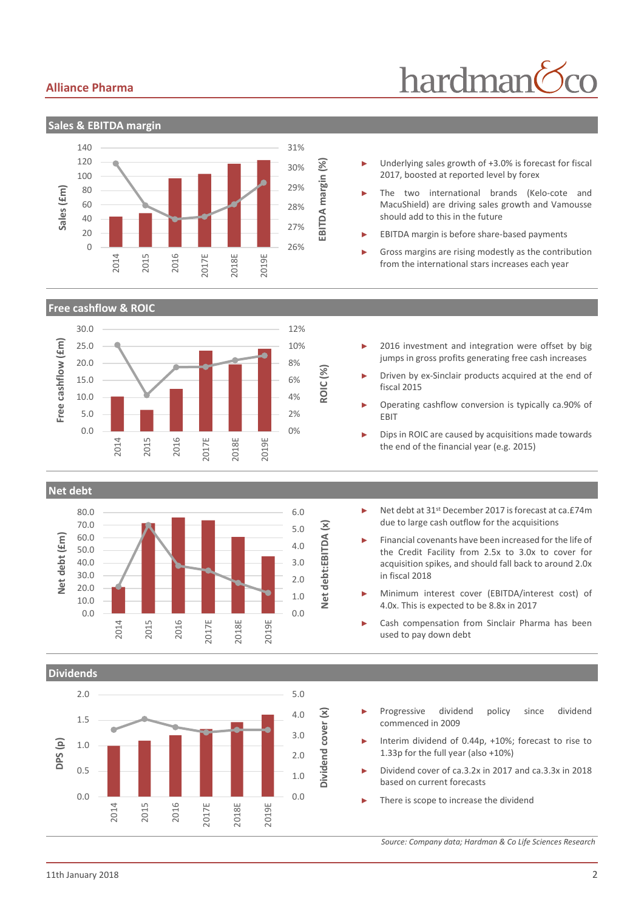#### **Alliance Pharma**

# hardman



**Sales & EBITDA margin**





- Underlying sales growth of +3.0% is forecast for fiscal 2017, boosted at reported level by forex
- The two international brands (Kelo-cote and MacuShield) are driving sales growth and Vamousse should add to this in the future
- EBITDA margin is before share-based payments
- Gross margins are rising modestly as the contribution from the international stars increases each year
- 2016 investment and integration were offset by big jumps in gross profits generating free cash increases
- Driven by ex-Sinclair products acquired at the end of fiscal 2015
- ► Operating cashflow conversion is typically ca.90% of EBIT
- Dips in ROIC are caused by acquisitions made towards the end of the financial year (e.g. 2015)

**Net debt**



- Net debt at 31<sup>st</sup> December 2017 is forecast at ca.£74m due to large cash outflow for the acquisitions
- Financial covenants have been increased for the life of the Credit Facility from 2.5x to 3.0x to cover for acquisition spikes, and should fall back to around 2.0x in fiscal 2018
- Minimum interest cover (EBITDA/interest cost) of 4.0x. This is expected to be 8.8x in 2017
- Cash compensation from Sinclair Pharma has been used to pay down debt



- Progressive dividend policy since dividend commenced in 2009
- Interim dividend of 0.44p, +10%; forecast to rise to 1.33p for the full year (also +10%)
- ► Dividend cover of ca.3.2x in 2017 and ca.3.3x in 2018 based on current forecasts
- There is scope to increase the dividend

*Source: Company data; Hardman & Co Life Sciences Research*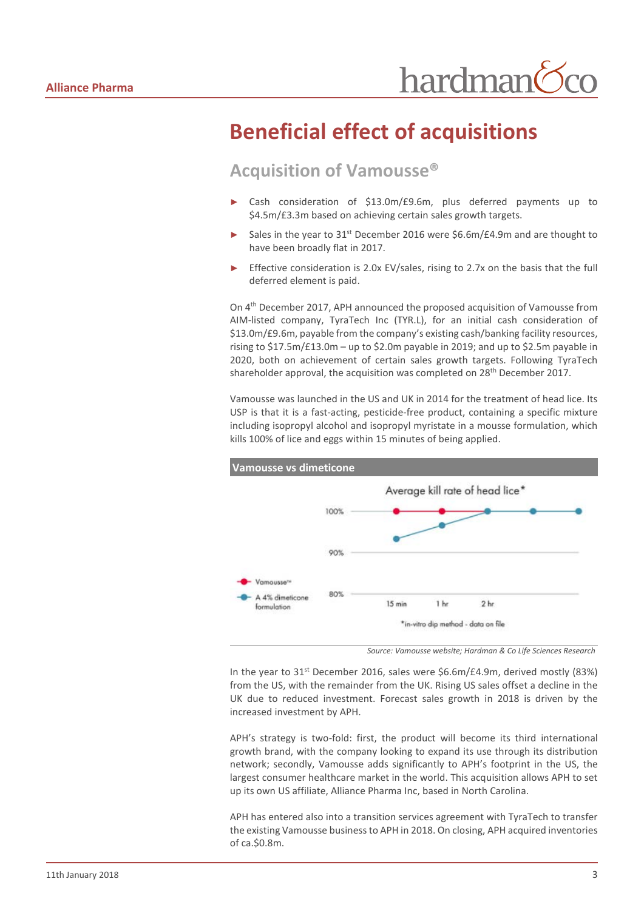## **Beneficial effect of acquisitions**

#### **Acquisition of Vamousse®**

- Cash consideration of \$13.0m/£9.6m, plus deferred payments up to \$4.5m/£3.3m based on achieving certain sales growth targets.
- Sales in the year to 31<sup>st</sup> December 2016 were \$6.6m/£4.9m and are thought to have been broadly flat in 2017.
- Effective consideration is 2.0x EV/sales, rising to 2.7x on the basis that the full deferred element is paid.

On 4th December 2017, APH announced the proposed acquisition of Vamousse from AIM-listed company, TyraTech Inc (TYR.L), for an initial cash consideration of \$13.0m/£9.6m, payable from the company's existing cash/banking facility resources, rising to \$17.5m/£13.0m – up to \$2.0m payable in 2019; and up to \$2.5m payable in 2020, both on achievement of certain sales growth targets. Following TyraTech shareholder approval, the acquisition was completed on  $28<sup>th</sup>$  December 2017.

Vamousse was launched in the US and UK in 2014 for the treatment of head lice. Its USP is that it is a fast-acting, pesticide-free product, containing a specific mixture including isopropyl alcohol and isopropyl myristate in a mousse formulation, which kills 100% of lice and eggs within 15 minutes of being applied.



*Source: Vamousse website; Hardman & Co Life Sciences Research*

In the year to  $31^{st}$  December 2016, sales were \$6.6m/£4.9m, derived mostly (83%) from the US, with the remainder from the UK. Rising US sales offset a decline in the UK due to reduced investment. Forecast sales growth in 2018 is driven by the increased investment by APH.

APH's strategy is two-fold: first, the product will become its third international growth brand, with the company looking to expand its use through its distribution network; secondly, Vamousse adds significantly to APH's footprint in the US, the largest consumer healthcare market in the world. This acquisition allows APH to set up its own US affiliate, Alliance Pharma Inc, based in North Carolina.

APH has entered also into a transition services agreement with TyraTech to transfer the existing Vamousse business to APH in 2018. On closing, APH acquired inventories of ca.\$0.8m.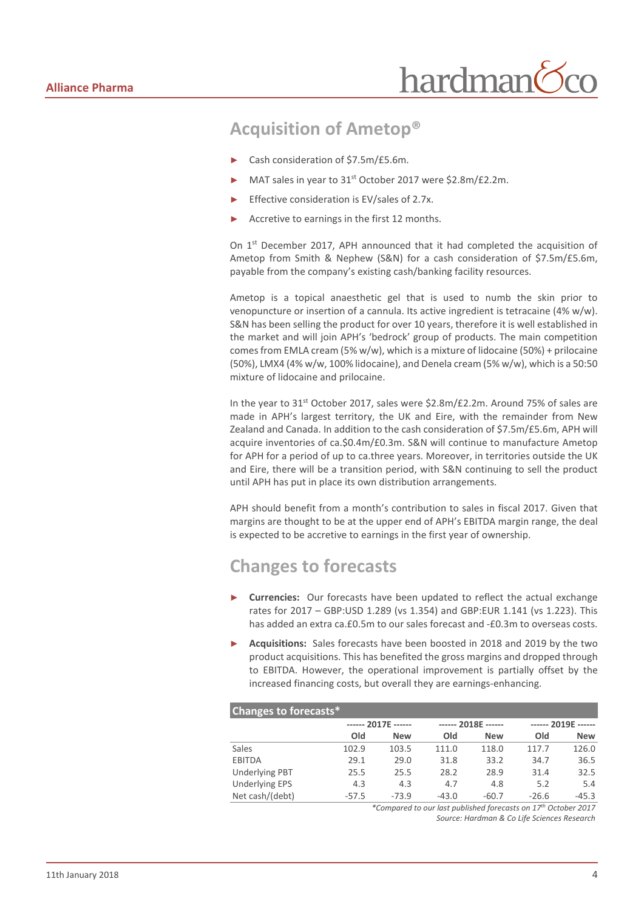#### **Acquisition of Ametop®**

- ► Cash consideration of \$7.5m/£5.6m.
- MAT sales in year to 31<sup>st</sup> October 2017 were \$2.8m/£2.2m.
- Effective consideration is EV/sales of 2.7x.
- Accretive to earnings in the first 12 months.

On 1st December 2017, APH announced that it had completed the acquisition of Ametop from Smith & Nephew (S&N) for a cash consideration of \$7.5m/£5.6m, payable from the company's existing cash/banking facility resources.

Ametop is a topical anaesthetic gel that is used to numb the skin prior to venopuncture or insertion of a cannula. Its active ingredient is tetracaine (4% w/w). S&N has been selling the product for over 10 years, therefore it is well established in the market and will join APH's 'bedrock' group of products. The main competition comes from EMLA cream (5% w/w), which is a mixture of lidocaine (50%) + prilocaine (50%), LMX4 (4% w/w, 100% lidocaine), and Denela cream (5% w/w), which is a 50:50 mixture of lidocaine and prilocaine.

In the year to  $31^{st}$  October 2017, sales were \$2.8m/£2.2m. Around 75% of sales are made in APH's largest territory, the UK and Eire, with the remainder from New Zealand and Canada. In addition to the cash consideration of \$7.5m/£5.6m, APH will acquire inventories of ca.\$0.4m/£0.3m. S&N will continue to manufacture Ametop for APH for a period of up to ca.three years. Moreover, in territories outside the UK and Eire, there will be a transition period, with S&N continuing to sell the product until APH has put in place its own distribution arrangements.

APH should benefit from a month's contribution to sales in fiscal 2017. Given that margins are thought to be at the upper end of APH's EBITDA margin range, the deal is expected to be accretive to earnings in the first year of ownership.

#### **Changes to forecasts**

- **Currencies:** Our forecasts have been updated to reflect the actual exchange rates for 2017 – GBP:USD 1.289 (vs 1.354) and GBP:EUR 1.141 (vs 1.223). This has added an extra ca.£0.5m to our sales forecast and -£0.3m to overseas costs.
- Acquisitions: Sales forecasts have been boosted in 2018 and 2019 by the two product acquisitions. This has benefited the gross margins and dropped through to EBITDA. However, the operational improvement is partially offset by the increased financing costs, but overall they are earnings-enhancing.

#### **Changes to forecasts\* ------ 2017E ------ ------ 2018E ------ ------ 2019E ------ Old New Old New Old New** Sales 102.9 103.5 111.0 118.0 117.7 126.0 EBITDA 29.1 29.0 31.8 33.2 34.7 36.5 Underlying PBT 25.5 25.5 28.2 28.9 31.4 32.5 Underlying EPS 4.3 4.3 4.7 4.8 5.2 5.4 Net cash/(debt) -57.5 -73.9 -43.0 -60.7 -26.6 -45.3

*\*Compared to our last published forecasts on 17th October 2017 Source: Hardman & Co Life Sciences Research*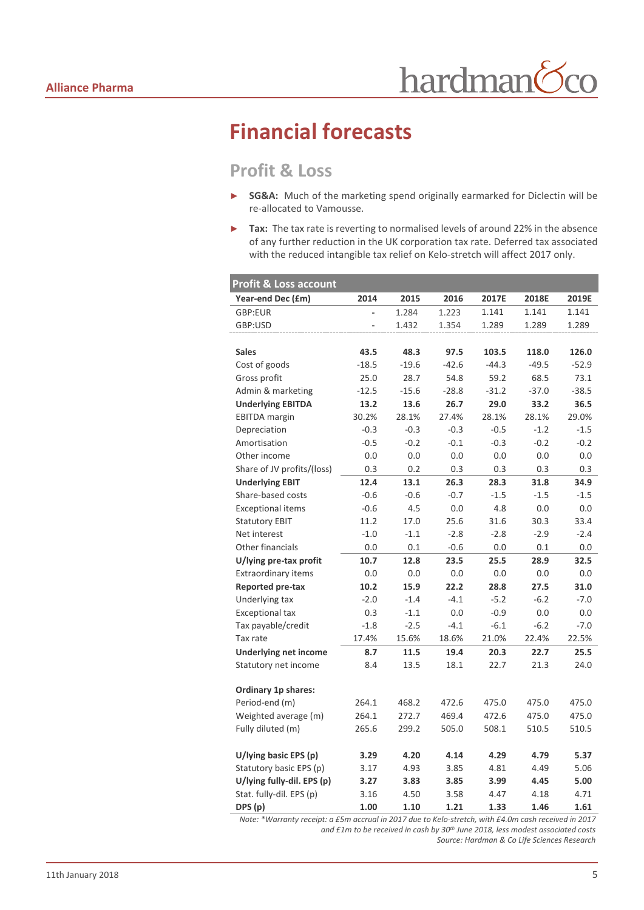# **Financial forecasts**

#### **Profit & Loss**

- ► **SG&A:** Much of the marketing spend originally earmarked for Diclectin will be re-allocated to Vamousse.
- ► **Tax:** The tax rate is reverting to normalised levels of around 22% in the absence of any further reduction in the UK corporation tax rate. Deferred tax associated with the reduced intangible tax relief on Kelo-stretch will affect 2017 only.

| <b>Profit &amp; Loss account</b> |         |         |         |         |         |         |
|----------------------------------|---------|---------|---------|---------|---------|---------|
| Year-end Dec (£m)                | 2014    | 2015    | 2016    | 2017E   | 2018E   | 2019E   |
| GBP:EUR                          |         | 1.284   | 1.223   | 1.141   | 1.141   | 1.141   |
| GBP:USD                          |         | 1.432   | 1.354   | 1.289   | 1.289   | 1.289   |
|                                  |         |         |         |         |         |         |
| <b>Sales</b>                     | 43.5    | 48.3    | 97.5    | 103.5   | 118.0   | 126.0   |
| Cost of goods                    | $-18.5$ | $-19.6$ | $-42.6$ | $-44.3$ | $-49.5$ | $-52.9$ |
| Gross profit                     | 25.0    | 28.7    | 54.8    | 59.2    | 68.5    | 73.1    |
| Admin & marketing                | $-12.5$ | $-15.6$ | $-28.8$ | $-31.2$ | $-37.0$ | $-38.5$ |
| <b>Underlying EBITDA</b>         | 13.2    | 13.6    | 26.7    | 29.0    | 33.2    | 36.5    |
| <b>EBITDA</b> margin             | 30.2%   | 28.1%   | 27.4%   | 28.1%   | 28.1%   | 29.0%   |
| Depreciation                     | $-0.3$  | $-0.3$  | $-0.3$  | $-0.5$  | $-1.2$  | $-1.5$  |
| Amortisation                     | $-0.5$  | $-0.2$  | $-0.1$  | $-0.3$  | $-0.2$  | $-0.2$  |
| Other income                     | 0.0     | 0.0     | 0.0     | 0.0     | 0.0     | 0.0     |
| Share of JV profits/(loss)       | 0.3     | 0.2     | 0.3     | 0.3     | 0.3     | 0.3     |
| <b>Underlying EBIT</b>           | 12.4    | 13.1    | 26.3    | 28.3    | 31.8    | 34.9    |
| Share-based costs                | $-0.6$  | $-0.6$  | $-0.7$  | $-1.5$  | $-1.5$  | $-1.5$  |
| <b>Exceptional items</b>         | $-0.6$  | 4.5     | 0.0     | 4.8     | 0.0     | 0.0     |
| <b>Statutory EBIT</b>            | 11.2    | 17.0    | 25.6    | 31.6    | 30.3    | 33.4    |
| Net interest                     | $-1.0$  | $-1.1$  | $-2.8$  | $-2.8$  | $-2.9$  | $-2.4$  |
| Other financials                 | 0.0     | 0.1     | $-0.6$  | 0.0     | 0.1     | 0.0     |
| U/lying pre-tax profit           | 10.7    | 12.8    | 23.5    | 25.5    | 28.9    | 32.5    |
| <b>Extraordinary items</b>       | 0.0     | 0.0     | 0.0     | 0.0     | 0.0     | 0.0     |
| <b>Reported pre-tax</b>          | 10.2    | 15.9    | 22.2    | 28.8    | 27.5    | 31.0    |
| Underlying tax                   | $-2.0$  | $-1.4$  | $-4.1$  | $-5.2$  | $-6.2$  | $-7.0$  |
| <b>Exceptional tax</b>           | 0.3     | $-1.1$  | 0.0     | $-0.9$  | 0.0     | 0.0     |
| Tax payable/credit               | $-1.8$  | $-2.5$  | $-4.1$  | $-6.1$  | $-6.2$  | $-7.0$  |
| Tax rate                         | 17.4%   | 15.6%   | 18.6%   | 21.0%   | 22.4%   | 22.5%   |
| <b>Underlying net income</b>     | 8.7     | 11.5    | 19.4    | 20.3    | 22.7    | 25.5    |
| Statutory net income             | 8.4     | 13.5    | 18.1    | 22.7    | 21.3    | 24.0    |
|                                  |         |         |         |         |         |         |
| <b>Ordinary 1p shares:</b>       |         |         |         |         |         |         |
| Period-end (m)                   | 264.1   | 468.2   | 472.6   | 475.0   | 475.0   | 475.0   |
| Weighted average (m)             | 264.1   | 272.7   | 469.4   | 472.6   | 475.0   | 475.0   |
| Fully diluted (m)                | 265.6   | 299.2   | 505.0   | 508.1   | 510.5   | 510.5   |
| U/lying basic EPS (p)            | 3.29    | 4.20    | 4.14    | 4.29    | 4.79    | 5.37    |
| Statutory basic EPS (p)          | 3.17    | 4.93    | 3.85    | 4.81    | 4.49    | 5.06    |
| U/lying fully-dil. EPS (p)       | 3.27    | 3.83    | 3.85    | 3.99    | 4.45    | 5.00    |
| Stat. fully-dil. EPS (p)         | 3.16    | 4.50    | 3.58    | 4.47    | 4.18    | 4.71    |
| DPS (p)                          | 1.00    | 1.10    | 1.21    | 1.33    | 1.46    | 1.61    |

*Note: \*Warranty receipt: a £5m accrual in 2017 due to Kelo-stretch, with £4.0m cash received in 2017 and £1m to be received in cash by 30th June 2018, less modest associated costs Source: Hardman & Co Life Sciences Research*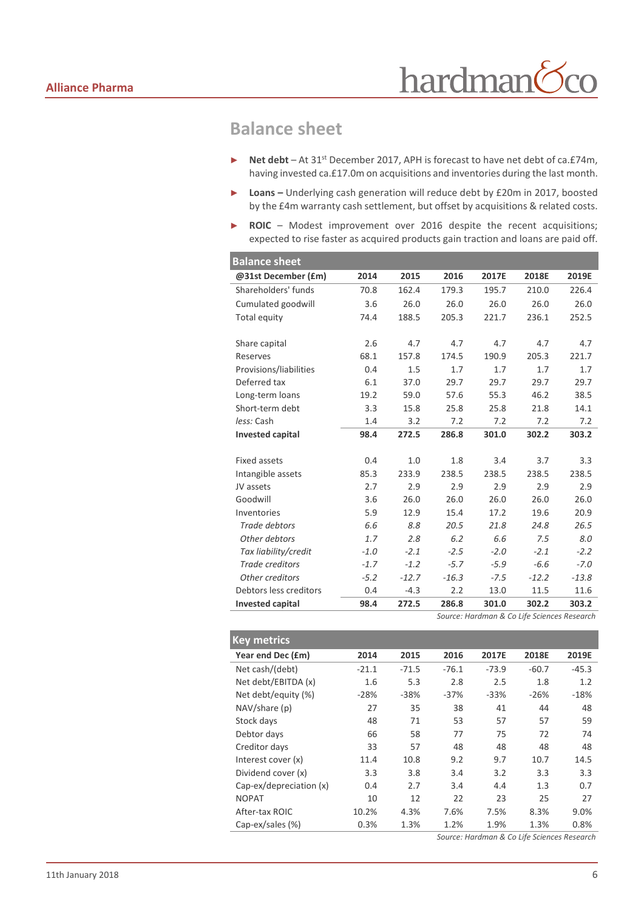#### **Balance sheet**

- ► **Net debt**  At 31st December 2017, APH is forecast to have net debt of ca.£74m, having invested ca.£17.0m on acquisitions and inventories during the last month.
- ► **Loans –** Underlying cash generation will reduce debt by £20m in 2017, boosted by the £4m warranty cash settlement, but offset by acquisitions & related costs.
- ► **ROIC** Modest improvement over 2016 despite the recent acquisitions; expected to rise faster as acquired products gain traction and loans are paid off.

| <b>Balance sheet</b>                        |        |         |         |        |         |         |
|---------------------------------------------|--------|---------|---------|--------|---------|---------|
| @31st December (£m)                         | 2014   | 2015    | 2016    | 2017E  | 2018E   | 2019E   |
| Shareholders' funds                         | 70.8   | 162.4   | 179.3   | 195.7  | 210.0   | 226.4   |
| Cumulated goodwill                          | 3.6    | 26.0    | 26.0    | 26.0   | 26.0    | 26.0    |
| Total equity                                | 74.4   | 188.5   | 205.3   | 221.7  | 236.1   | 252.5   |
| Share capital                               | 2.6    | 4.7     | 4.7     | 4.7    | 4.7     | 4.7     |
| Reserves                                    | 68.1   | 157.8   | 174.5   | 190.9  | 205.3   | 221.7   |
| Provisions/liabilities                      | 0.4    | 1.5     | 1.7     | 1.7    | 1.7     | 1.7     |
| Deferred tax                                | 6.1    | 37.0    | 29.7    | 29.7   | 29.7    | 29.7    |
| Long-term loans                             | 19.2   | 59.0    | 57.6    | 55.3   | 46.2    | 38.5    |
| Short-term debt                             | 3.3    | 15.8    | 25.8    | 25.8   | 21.8    | 14.1    |
| less: Cash                                  | 1.4    | 3.2     | 7.2     | 7.2    | 7.2     | 7.2     |
| <b>Invested capital</b>                     | 98.4   | 272.5   | 286.8   | 301.0  | 302.2   | 303.2   |
| <b>Fixed assets</b>                         | 0.4    | 1.0     | 1.8     | 3.4    | 3.7     | 3.3     |
| Intangible assets                           | 85.3   | 233.9   | 238.5   | 238.5  | 238.5   | 238.5   |
| JV assets                                   | 2.7    | 2.9     | 2.9     | 2.9    | 2.9     | 2.9     |
| Goodwill                                    | 3.6    | 26.0    | 26.0    | 26.0   | 26.0    | 26.0    |
| Inventories                                 | 5.9    | 12.9    | 15.4    | 17.2   | 19.6    | 20.9    |
| Trade debtors                               | 6.6    | 8.8     | 20.5    | 21.8   | 24.8    | 26.5    |
| Other debtors                               | 1.7    | 2.8     | 6.2     | 6.6    | 7.5     | 8.0     |
| Tax liability/credit                        | $-1.0$ | $-2.1$  | $-2.5$  | $-2.0$ | $-2.1$  | $-2.2$  |
| <b>Trade creditors</b>                      | $-1.7$ | $-1.2$  | $-5.7$  | $-5.9$ | $-6.6$  | $-7.0$  |
| Other creditors                             | $-5.2$ | $-12.7$ | $-16.3$ | $-7.5$ | $-12.2$ | $-13.8$ |
| Debtors less creditors                      | 0.4    | $-4.3$  | 2.2     | 13.0   | 11.5    | 11.6    |
| <b>Invested capital</b>                     | 98.4   | 272.5   | 286.8   | 301.0  | 302.2   | 303.2   |
| Source: Hardman & Co Life Sciences Research |        |         |         |        |         |         |

| <b>Key metrics</b>      |         |         |         |         |         |         |
|-------------------------|---------|---------|---------|---------|---------|---------|
| Year end Dec (£m)       | 2014    | 2015    | 2016    | 2017E   | 2018E   | 2019E   |
| Net cash/(debt)         | $-21.1$ | $-71.5$ | $-76.1$ | $-73.9$ | $-60.7$ | $-45.3$ |
| Net debt/EBITDA (x)     | 1.6     | 5.3     | 2.8     | 2.5     | 1.8     | 1.2     |
| Net debt/equity (%)     | $-28%$  | $-38%$  | $-37%$  | $-33%$  | $-26%$  | $-18%$  |
| NAV/share (p)           | 27      | 35      | 38      | 41      | 44      | 48      |
| Stock days              | 48      | 71      | 53      | 57      | 57      | 59      |
| Debtor days             | 66      | 58      | 77      | 75      | 72      | 74      |
| Creditor days           | 33      | 57      | 48      | 48      | 48      | 48      |
| Interest cover (x)      | 11.4    | 10.8    | 9.2     | 9.7     | 10.7    | 14.5    |
| Dividend cover (x)      | 3.3     | 3.8     | 3.4     | 3.2     | 3.3     | 3.3     |
| Cap-ex/depreciation (x) | 0.4     | 2.7     | 3.4     | 4.4     | 1.3     | 0.7     |
| <b>NOPAT</b>            | 10      | 12      | 22      | 23      | 25      | 27      |
| After-tax ROIC          | 10.2%   | 4.3%    | 7.6%    | 7.5%    | 8.3%    | 9.0%    |
| Cap-ex/sales (%)        | 0.3%    | 1.3%    | 1.2%    | 1.9%    | 1.3%    | 0.8%    |
|                         |         |         |         |         |         |         |

*Source: Hardman & Co Life Sciences Research*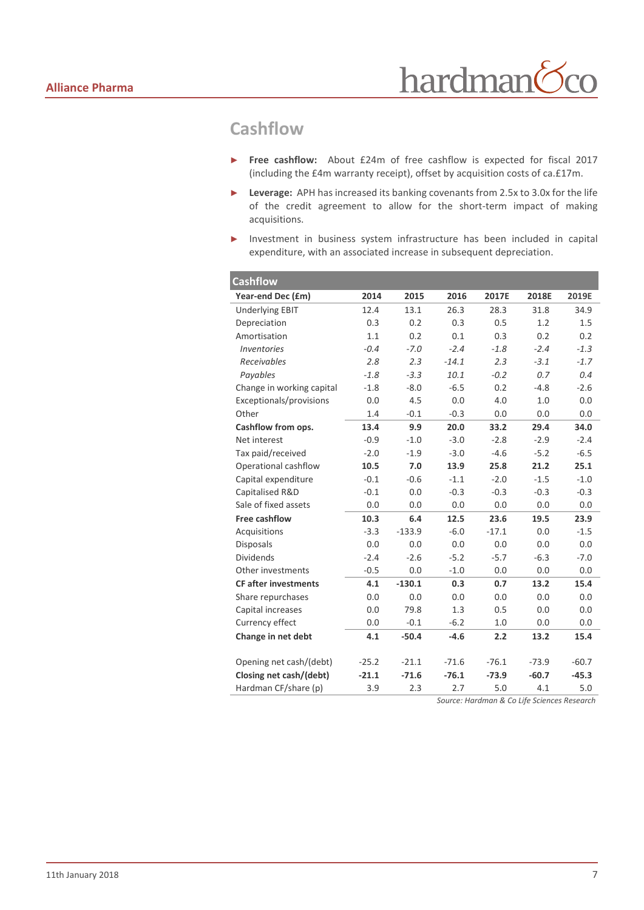#### **Cashflow**

- ► **Free cashflow:** About £24m of free cashflow is expected for fiscal 2017 (including the £4m warranty receipt), offset by acquisition costs of ca.£17m.
- ► **Leverage:** APH has increased its banking covenants from 2.5x to 3.0x for the life of the credit agreement to allow for the short-term impact of making acquisitions.
- ► Investment in business system infrastructure has been included in capital expenditure, with an associated increase in subsequent depreciation.

| <b>Cashflow</b>             |         |          |         |         |         |         |
|-----------------------------|---------|----------|---------|---------|---------|---------|
| Year-end Dec (£m)           | 2014    | 2015     | 2016    | 2017E   | 2018E   | 2019E   |
| <b>Underlying EBIT</b>      | 12.4    | 13.1     | 26.3    | 28.3    | 31.8    | 34.9    |
| Depreciation                | 0.3     | 0.2      | 0.3     | 0.5     | 1.2     | 1.5     |
| Amortisation                | 1.1     | 0.2      | 0.1     | 0.3     | 0.2     | 0.2     |
| Inventories                 | $-0.4$  | $-7.0$   | $-2.4$  | $-1.8$  | $-2.4$  | $-1.3$  |
| Receivables                 | 2.8     | 2.3      | $-14.1$ | 2.3     | $-3.1$  | $-1.7$  |
| Payables                    | $-1.8$  | $-3.3$   | 10.1    | $-0.2$  | 0.7     | 0.4     |
| Change in working capital   | $-1.8$  | $-8.0$   | $-6.5$  | 0.2     | $-4.8$  | $-2.6$  |
| Exceptionals/provisions     | 0.0     | 4.5      | 0.0     | 4.0     | 1.0     | 0.0     |
| Other                       | 1.4     | $-0.1$   | $-0.3$  | 0.0     | 0.0     | 0.0     |
| Cashflow from ops.          | 13.4    | 9.9      | 20.0    | 33.2    | 29.4    | 34.0    |
| Net interest                | $-0.9$  | $-1.0$   | $-3.0$  | $-2.8$  | $-2.9$  | $-2.4$  |
| Tax paid/received           | $-2.0$  | $-1.9$   | $-3.0$  | $-4.6$  | $-5.2$  | $-6.5$  |
| Operational cashflow        | 10.5    | 7.0      | 13.9    | 25.8    | 21.2    | 25.1    |
| Capital expenditure         | $-0.1$  | $-0.6$   | $-1.1$  | $-2.0$  | $-1.5$  | $-1.0$  |
| Capitalised R&D             | $-0.1$  | 0.0      | $-0.3$  | $-0.3$  | $-0.3$  | $-0.3$  |
| Sale of fixed assets        | 0.0     | 0.0      | 0.0     | 0.0     | 0.0     | 0.0     |
| <b>Free cashflow</b>        | 10.3    | 6.4      | 12.5    | 23.6    | 19.5    | 23.9    |
| Acquisitions                | $-3.3$  | $-133.9$ | $-6.0$  | $-17.1$ | 0.0     | $-1.5$  |
| <b>Disposals</b>            | 0.0     | 0.0      | 0.0     | 0.0     | 0.0     | 0.0     |
| <b>Dividends</b>            | $-2.4$  | $-2.6$   | $-5.2$  | $-5.7$  | $-6.3$  | $-7.0$  |
| Other investments           | $-0.5$  | 0.0      | $-1.0$  | 0.0     | 0.0     | 0.0     |
| <b>CF after investments</b> | 4.1     | $-130.1$ | 0.3     | 0.7     | 13.2    | 15.4    |
| Share repurchases           | 0.0     | 0.0      | 0.0     | 0.0     | 0.0     | 0.0     |
| Capital increases           | 0.0     | 79.8     | 1.3     | 0.5     | 0.0     | 0.0     |
| Currency effect             | 0.0     | $-0.1$   | $-6.2$  | 1.0     | 0.0     | 0.0     |
| Change in net debt          | 4.1     | $-50.4$  | $-4.6$  | 2.2     | 13.2    | 15.4    |
|                             |         |          |         |         |         |         |
| Opening net cash/(debt)     | $-25.2$ | $-21.1$  | $-71.6$ | $-76.1$ | $-73.9$ | $-60.7$ |
| Closing net cash/(debt)     | $-21.1$ | $-71.6$  | $-76.1$ | $-73.9$ | $-60.7$ | $-45.3$ |
| Hardman CF/share (p)        | 3.9     | 2.3      | 2.7     | 5.0     | 4.1     | 5.0     |

*Source: Hardman & Co Life Sciences Research*